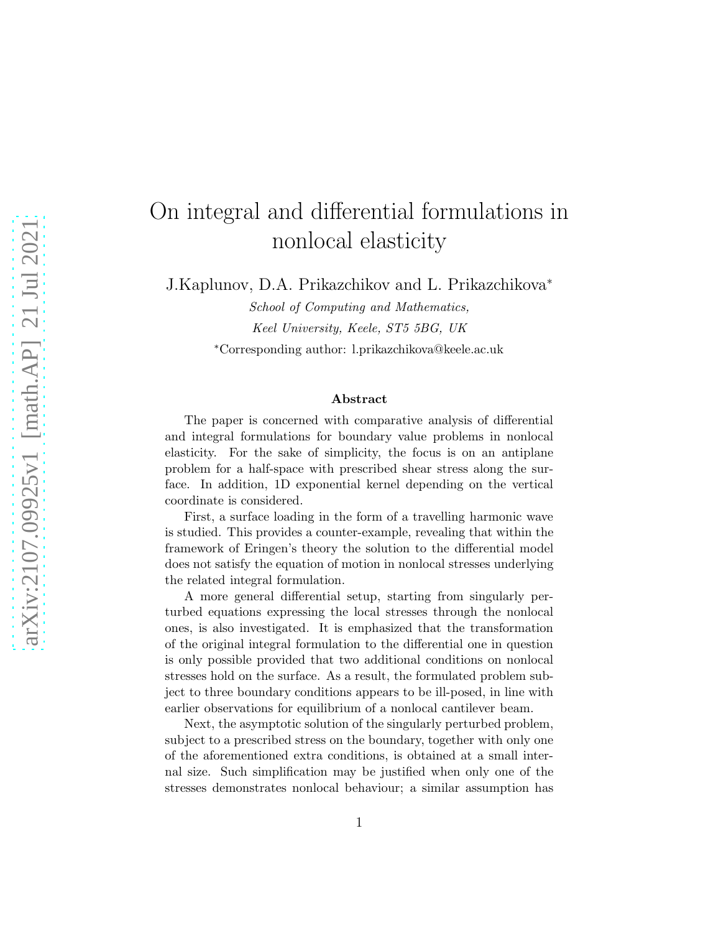# On integral and differential formulations in nonlocal elasticity

J.Kaplunov, D.A. Prikazchikov and L. Prikazchikova<sup>∗</sup>

School of Computing and Mathematics, Keel University, Keele, ST5 5BG, UK <sup>∗</sup>Corresponding author: l.prikazchikova@keele.ac.uk

#### Abstract

The paper is concerned with comparative analysis of differential and integral formulations for boundary value problems in nonlocal elasticity. For the sake of simplicity, the focus is on an antiplane problem for a half-space with prescribed shear stress along the surface. In addition, 1D exponential kernel depending on the vertical coordinate is considered.

First, a surface loading in the form of a travelling harmonic wave is studied. This provides a counter-example, revealing that within the framework of Eringen's theory the solution to the differential model does not satisfy the equation of motion in nonlocal stresses underlying the related integral formulation.

A more general differential setup, starting from singularly perturbed equations expressing the local stresses through the nonlocal ones, is also investigated. It is emphasized that the transformation of the original integral formulation to the differential one in question is only possible provided that two additional conditions on nonlocal stresses hold on the surface. As a result, the formulated problem subject to three boundary conditions appears to be ill-posed, in line with earlier observations for equilibrium of a nonlocal cantilever beam.

Next, the asymptotic solution of the singularly perturbed problem, subject to a prescribed stress on the boundary, together with only one of the aforementioned extra conditions, is obtained at a small internal size. Such simplification may be justified when only one of the stresses demonstrates nonlocal behaviour; a similar assumption has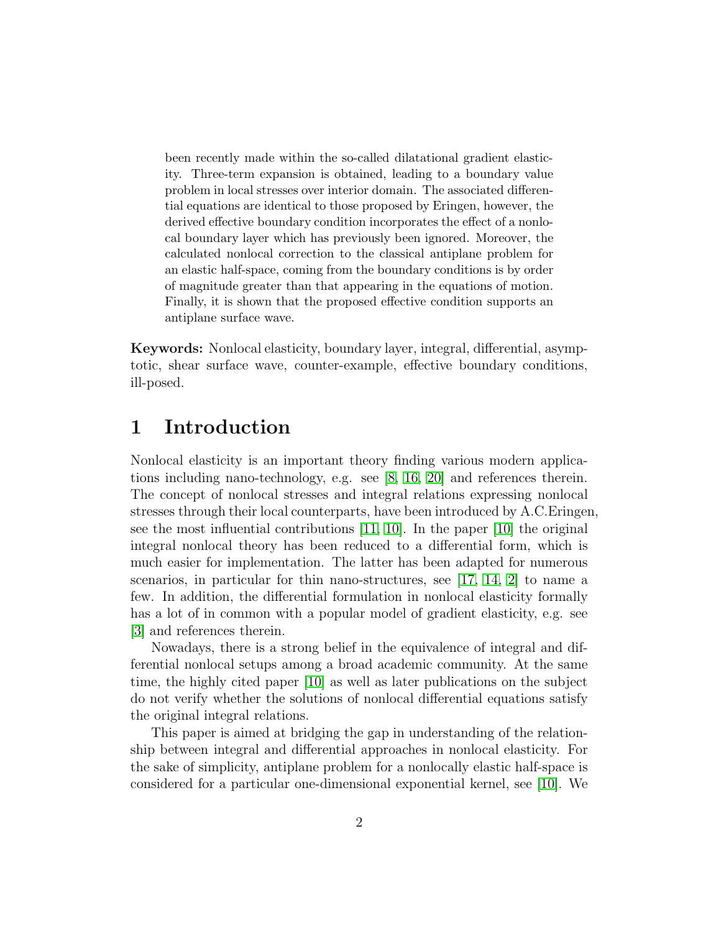been recently made within the so-called dilatational gradient elasticity. Three-term expansion is obtained, leading to a boundary value problem in local stresses over interior domain. The associated differential equations are identical to those proposed by Eringen, however, the derived effective boundary condition incorporates the effect of a nonlocal boundary layer which has previously been ignored. Moreover, the calculated nonlocal correction to the classical antiplane problem for an elastic half-space, coming from the boundary conditions is by order of magnitude greater than that appearing in the equations of motion. Finally, it is shown that the proposed effective condition supports an antiplane surface wave.

Keywords: Nonlocal elasticity, boundary layer, integral, differential, asymptotic, shear surface wave, counter-example, effective boundary conditions, ill-posed.

#### 1 Introduction

Nonlocal elasticity is an important theory finding various modern applications including nano-technology, e.g. see [\[8,](#page-17-0) [16,](#page-18-0) [20\]](#page-18-1) and references therein. The concept of nonlocal stresses and integral relations expressing nonlocal stresses through their local counterparts, have been introduced by A.C.Eringen, see the most influential contributions [\[11,](#page-17-1) [10\]](#page-17-2). In the paper [\[10\]](#page-17-2) the original integral nonlocal theory has been reduced to a differential form, which is much easier for implementation. The latter has been adapted for numerous scenarios, in particular for thin nano-structures, see [\[17,](#page-18-2) [14,](#page-18-3) [2\]](#page-16-0) to name a few. In addition, the differential formulation in nonlocal elasticity formally has a lot of in common with a popular model of gradient elasticity, e.g. see [\[3\]](#page-16-1) and references therein.

Nowadays, there is a strong belief in the equivalence of integral and differential nonlocal setups among a broad academic community. At the same time, the highly cited paper [\[10\]](#page-17-2) as well as later publications on the subject do not verify whether the solutions of nonlocal differential equations satisfy the original integral relations.

This paper is aimed at bridging the gap in understanding of the relationship between integral and differential approaches in nonlocal elasticity. For the sake of simplicity, antiplane problem for a nonlocally elastic half-space is considered for a particular one-dimensional exponential kernel, see [\[10\]](#page-17-2). We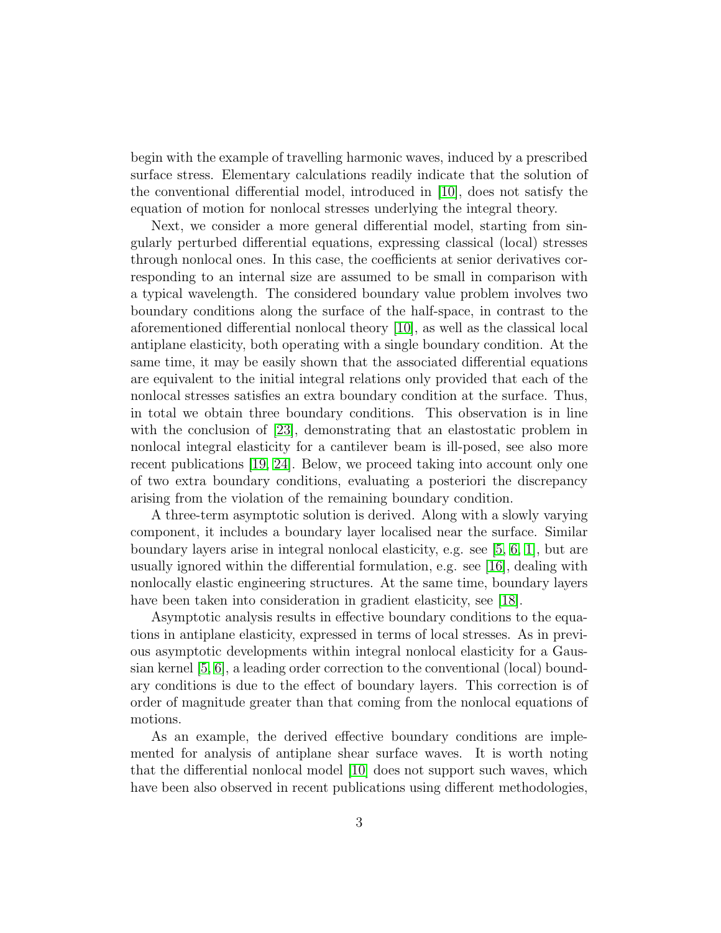begin with the example of travelling harmonic waves, induced by a prescribed surface stress. Elementary calculations readily indicate that the solution of the conventional differential model, introduced in [\[10\]](#page-17-2), does not satisfy the equation of motion for nonlocal stresses underlying the integral theory.

Next, we consider a more general differential model, starting from singularly perturbed differential equations, expressing classical (local) stresses through nonlocal ones. In this case, the coefficients at senior derivatives corresponding to an internal size are assumed to be small in comparison with a typical wavelength. The considered boundary value problem involves two boundary conditions along the surface of the half-space, in contrast to the aforementioned differential nonlocal theory [\[10\]](#page-17-2), as well as the classical local antiplane elasticity, both operating with a single boundary condition. At the same time, it may be easily shown that the associated differential equations are equivalent to the initial integral relations only provided that each of the nonlocal stresses satisfies an extra boundary condition at the surface. Thus, in total we obtain three boundary conditions. This observation is in line with the conclusion of [\[23\]](#page-18-4), demonstrating that an elastostatic problem in nonlocal integral elasticity for a cantilever beam is ill-posed, see also more recent publications [\[19,](#page-18-5) [24\]](#page-18-6). Below, we proceed taking into account only one of two extra boundary conditions, evaluating a posteriori the discrepancy arising from the violation of the remaining boundary condition.

A three-term asymptotic solution is derived. Along with a slowly varying component, it includes a boundary layer localised near the surface. Similar boundary layers arise in integral nonlocal elasticity, e.g. see [\[5,](#page-17-3) [6,](#page-17-4) [1\]](#page-16-2), but are usually ignored within the differential formulation, e.g. see [\[16\]](#page-18-0), dealing with nonlocally elastic engineering structures. At the same time, boundary layers have been taken into consideration in gradient elasticity, see [\[18\]](#page-18-7).

Asymptotic analysis results in effective boundary conditions to the equations in antiplane elasticity, expressed in terms of local stresses. As in previous asymptotic developments within integral nonlocal elasticity for a Gaussian kernel [\[5,](#page-17-3) [6\]](#page-17-4), a leading order correction to the conventional (local) boundary conditions is due to the effect of boundary layers. This correction is of order of magnitude greater than that coming from the nonlocal equations of motions.

As an example, the derived effective boundary conditions are implemented for analysis of antiplane shear surface waves. It is worth noting that the differential nonlocal model [\[10\]](#page-17-2) does not support such waves, which have been also observed in recent publications using different methodologies,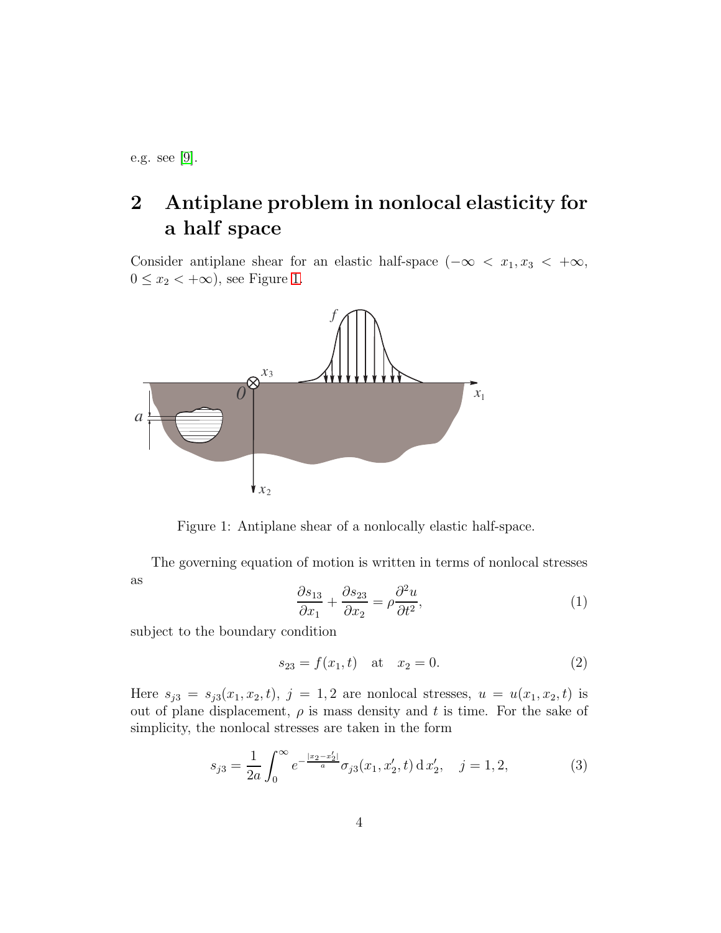e.g. see [\[9\]](#page-17-5).

## 2 Antiplane problem in nonlocal elasticity for a half space

Consider antiplane shear for an elastic half-space  $(-\infty < x_1, x_3 < +\infty,$  $0 \leq x_2 < +\infty$ , see Figure [1.](#page-3-0)



<span id="page-3-0"></span>Figure 1: Antiplane shear of a nonlocally elastic half-space.

The governing equation of motion is written in terms of nonlocal stresses as

<span id="page-3-1"></span>
$$
\frac{\partial s_{13}}{\partial x_1} + \frac{\partial s_{23}}{\partial x_2} = \rho \frac{\partial^2 u}{\partial t^2},\tag{1}
$$

subject to the boundary condition

<span id="page-3-2"></span>
$$
s_{23} = f(x_1, t) \quad \text{at} \quad x_2 = 0. \tag{2}
$$

Here  $s_{j3} = s_{j3}(x_1, x_2, t)$ ,  $j = 1, 2$  are nonlocal stresses,  $u = u(x_1, x_2, t)$  is out of plane displacement,  $\rho$  is mass density and t is time. For the sake of simplicity, the nonlocal stresses are taken in the form

<span id="page-3-3"></span>
$$
s_{j3} = \frac{1}{2a} \int_0^\infty e^{-\frac{|x_2 - x_2'|}{a}} \sigma_{j3}(x_1, x_2', t) \, dx_2', \quad j = 1, 2,
$$
 (3)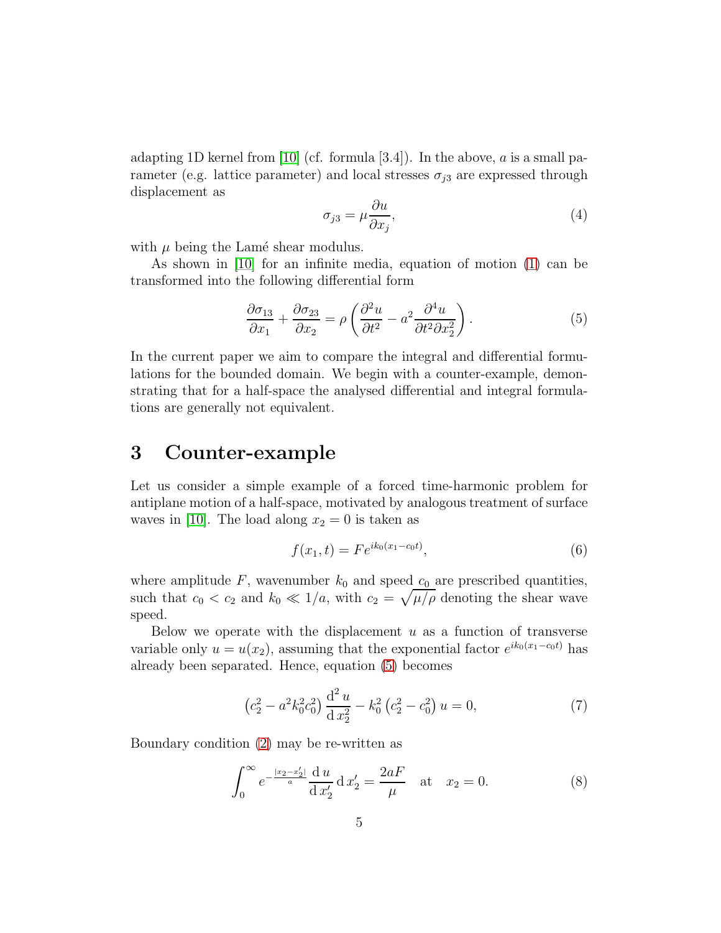adapting 1D kernel from [\[10\]](#page-17-2) (cf. formula [3.4]). In the above,  $a$  is a small parameter (e.g. lattice parameter) and local stresses  $\sigma_{i3}$  are expressed through displacement as

<span id="page-4-3"></span>
$$
\sigma_{j3} = \mu \frac{\partial u}{\partial x_j},\tag{4}
$$

with  $\mu$  being the Lamé shear modulus.

As shown in [\[10\]](#page-17-2) for an infinite media, equation of motion [\(1\)](#page-3-1) can be transformed into the following differential form

<span id="page-4-0"></span>
$$
\frac{\partial \sigma_{13}}{\partial x_1} + \frac{\partial \sigma_{23}}{\partial x_2} = \rho \left( \frac{\partial^2 u}{\partial t^2} - a^2 \frac{\partial^4 u}{\partial t^2 \partial x_2^2} \right).
$$
 (5)

In the current paper we aim to compare the integral and differential formulations for the bounded domain. We begin with a counter-example, demonstrating that for a half-space the analysed differential and integral formulations are generally not equivalent.

#### 3 Counter-example

Let us consider a simple example of a forced time-harmonic problem for antiplane motion of a half-space, motivated by analogous treatment of surface waves in [\[10\]](#page-17-2). The load along  $x_2 = 0$  is taken as

$$
f(x_1, t) = Fe^{ik_0(x_1 - c_0 t)}, \tag{6}
$$

where amplitude  $F$ , wavenumber  $k_0$  and speed  $c_0$  are prescribed quantities, such that  $c_0 < c_2$  and  $k_0 \ll 1/a$ , with  $c_2 = \sqrt{\mu/\rho}$  denoting the shear wave speed.

Below we operate with the displacement  $u$  as a function of transverse variable only  $u = u(x_2)$ , assuming that the exponential factor  $e^{ik_0(x_1 - c_0t)}$  has already been separated. Hence, equation [\(5\)](#page-4-0) becomes

<span id="page-4-1"></span>
$$
\left(c_2^2 - a^2 k_0^2 c_0^2\right) \frac{\mathrm{d}^2 u}{\mathrm{d} x_2^2} - k_0^2 \left(c_2^2 - c_0^2\right) u = 0,\tag{7}
$$

Boundary condition [\(2\)](#page-3-2) may be re-written as

<span id="page-4-2"></span>
$$
\int_0^\infty e^{-\frac{|x_2 - x_2'|}{a}} \frac{du}{dx_2'} dx_2' = \frac{2aF}{\mu} \quad \text{at} \quad x_2 = 0. \tag{8}
$$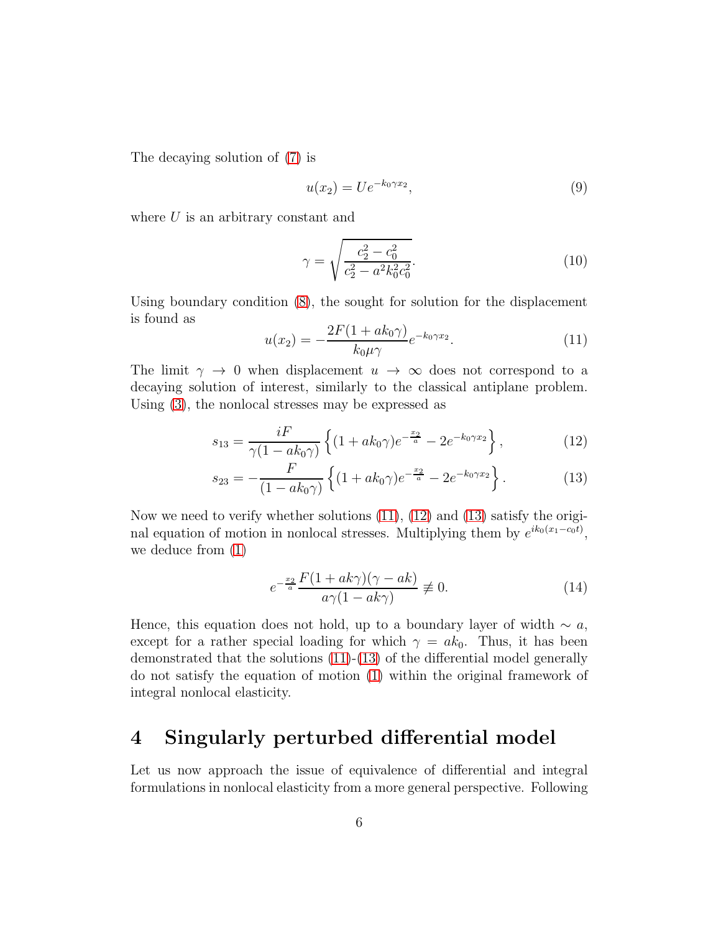The decaying solution of [\(7\)](#page-4-1) is

$$
u(x_2) = U e^{-k_0 \gamma x_2}, \tag{9}
$$

where  $U$  is an arbitrary constant and

$$
\gamma = \sqrt{\frac{c_2^2 - c_0^2}{c_2^2 - a^2 k_0^2 c_0^2}}.\tag{10}
$$

Using boundary condition [\(8\)](#page-4-2), the sought for solution for the displacement is found as

<span id="page-5-1"></span><span id="page-5-0"></span>
$$
u(x_2) = -\frac{2F(1 + ak_0\gamma)}{k_0\mu\gamma}e^{-k_0\gamma x_2}.
$$
 (11)

The limit  $\gamma \to 0$  when displacement  $u \to \infty$  does not correspond to a decaying solution of interest, similarly to the classical antiplane problem. Using [\(3\)](#page-3-3), the nonlocal stresses may be expressed as

$$
s_{13} = \frac{iF}{\gamma(1 - ak_0\gamma)} \left\{ (1 + ak_0\gamma)e^{-\frac{x_2}{a}} - 2e^{-k_0\gamma x_2} \right\},
$$
 (12)

$$
s_{23} = -\frac{F}{(1 - ak_0\gamma)} \left\{ (1 + ak_0\gamma)e^{-\frac{x_2}{a}} - 2e^{-k_0\gamma x_2} \right\}.
$$
 (13)

Now we need to verify whether solutions [\(11\)](#page-5-0), [\(12\)](#page-5-1) and [\(13\)](#page-5-2) satisfy the original equation of motion in nonlocal stresses. Multiplying them by  $e^{ik_0(x_1-c_0t)}$ , we deduce from [\(1\)](#page-3-1)

<span id="page-5-2"></span>
$$
e^{-\frac{x_2}{a}} \frac{F(1 + ak\gamma)(\gamma - ak)}{a\gamma(1 - ak\gamma)} \not\equiv 0.
$$
 (14)

Hence, this equation does not hold, up to a boundary layer of width  $\sim a$ , except for a rather special loading for which  $\gamma = ak_0$ . Thus, it has been demonstrated that the solutions [\(11\)](#page-5-0)-[\(13\)](#page-5-2) of the differential model generally do not satisfy the equation of motion [\(1\)](#page-3-1) within the original framework of integral nonlocal elasticity.

#### 4 Singularly perturbed differential model

Let us now approach the issue of equivalence of differential and integral formulations in nonlocal elasticity from a more general perspective. Following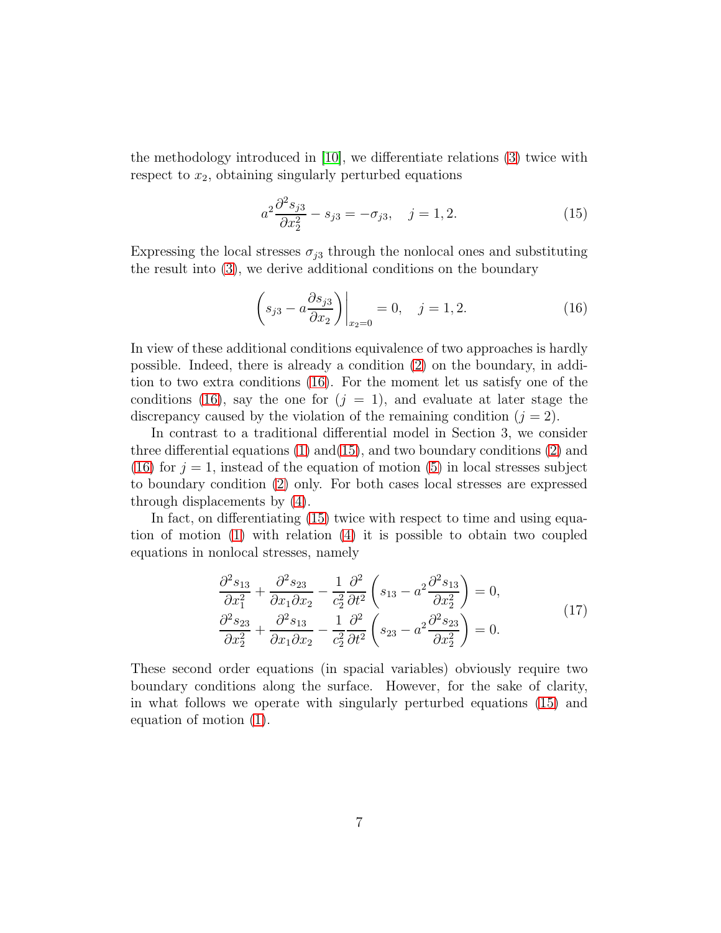the methodology introduced in [\[10\]](#page-17-2), we differentiate relations [\(3\)](#page-3-3) twice with respect to  $x_2$ , obtaining singularly perturbed equations

<span id="page-6-1"></span>
$$
a^2 \frac{\partial^2 s_{j3}}{\partial x_2^2} - s_{j3} = -\sigma_{j3}, \quad j = 1, 2.
$$
 (15)

Expressing the local stresses  $\sigma_{i3}$  through the nonlocal ones and substituting the result into [\(3\)](#page-3-3), we derive additional conditions on the boundary

<span id="page-6-0"></span>
$$
\left(s_{j3} - a\frac{\partial s_{j3}}{\partial x_2}\right)\bigg|_{x_2=0} = 0, \quad j = 1, 2. \tag{16}
$$

In view of these additional conditions equivalence of two approaches is hardly possible. Indeed, there is already a condition [\(2\)](#page-3-2) on the boundary, in addition to two extra conditions [\(16\)](#page-6-0). For the moment let us satisfy one of the conditions [\(16\)](#page-6-0), say the one for  $(j = 1)$ , and evaluate at later stage the discrepancy caused by the violation of the remaining condition  $(j = 2)$ .

In contrast to a traditional differential model in Section 3, we consider three differential equations  $(1)$  and $(15)$ , and two boundary conditions  $(2)$  and [\(16\)](#page-6-0) for  $j = 1$ , instead of the equation of motion [\(5\)](#page-4-0) in local stresses subject to boundary condition [\(2\)](#page-3-2) only. For both cases local stresses are expressed through displacements by [\(4\)](#page-4-3).

In fact, on differentiating [\(15\)](#page-6-1) twice with respect to time and using equation of motion [\(1\)](#page-3-1) with relation [\(4\)](#page-4-3) it is possible to obtain two coupled equations in nonlocal stresses, namely

$$
\frac{\partial^2 s_{13}}{\partial x_1^2} + \frac{\partial^2 s_{23}}{\partial x_1 \partial x_2} - \frac{1}{c_2^2} \frac{\partial^2}{\partial t^2} \left( s_{13} - a^2 \frac{\partial^2 s_{13}}{\partial x_2^2} \right) = 0,
$$
  

$$
\frac{\partial^2 s_{23}}{\partial x_2^2} + \frac{\partial^2 s_{13}}{\partial x_1 \partial x_2} - \frac{1}{c_2^2} \frac{\partial^2}{\partial t^2} \left( s_{23} - a^2 \frac{\partial^2 s_{23}}{\partial x_2^2} \right) = 0.
$$
 (17)

These second order equations (in spacial variables) obviously require two boundary conditions along the surface. However, for the sake of clarity, in what follows we operate with singularly perturbed equations [\(15\)](#page-6-1) and equation of motion [\(1\)](#page-3-1).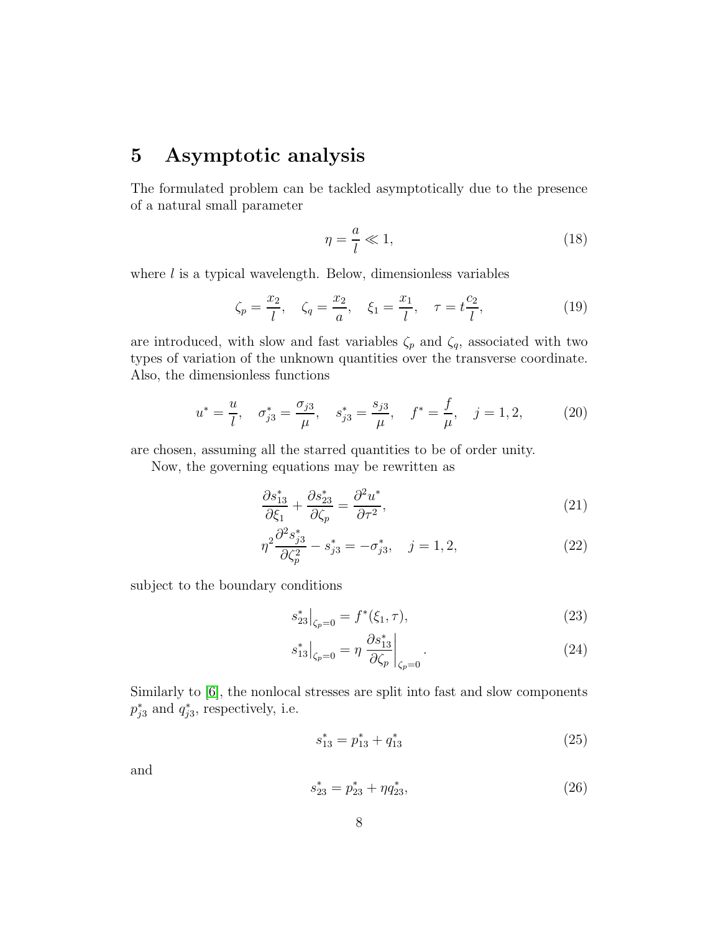#### 5 Asymptotic analysis

The formulated problem can be tackled asymptotically due to the presence of a natural small parameter

$$
\eta = \frac{a}{l} \ll 1,\tag{18}
$$

where  $l$  is a typical wavelength. Below, dimensionless variables

$$
\zeta_p = \frac{x_2}{l}, \quad \zeta_q = \frac{x_2}{a}, \quad \xi_1 = \frac{x_1}{l}, \quad \tau = t\frac{c_2}{l},
$$
\n(19)

are introduced, with slow and fast variables  $\zeta_p$  and  $\zeta_q$ , associated with two types of variation of the unknown quantities over the transverse coordinate. Also, the dimensionless functions

$$
u^* = \frac{u}{l}, \quad \sigma_{j3}^* = \frac{\sigma_{j3}}{\mu}, \quad s_{j3}^* = \frac{s_{j3}}{\mu}, \quad f^* = \frac{f}{\mu}, \quad j = 1, 2, \tag{20}
$$

are chosen, assuming all the starred quantities to be of order unity.

Now, the governing equations may be rewritten as

$$
\frac{\partial s_{13}^*}{\partial \xi_1} + \frac{\partial s_{23}^*}{\partial \zeta_p} = \frac{\partial^2 u^*}{\partial \tau^2},\tag{21}
$$

$$
\eta^2 \frac{\partial^2 s_{j3}^*}{\partial \zeta_p^2} - s_{j3}^* = -\sigma_{j3}^*, \quad j = 1, 2,
$$
\n(22)

subject to the boundary conditions

$$
s_{23}^* \big|_{\zeta_p = 0} = f^*(\xi_1, \tau), \tag{23}
$$

$$
s_{13}^* \big|_{\zeta_p = 0} = \eta \left. \frac{\partial s_{13}^*}{\partial \zeta_p} \right|_{\zeta_p = 0}.
$$
 (24)

Similarly to [\[6\]](#page-17-4), the nonlocal stresses are split into fast and slow components  $p_{j3}^*$  and  $q_{j3}^*$ , respectively, i.e.

$$
s_{13}^* = p_{13}^* + q_{13}^* \tag{25}
$$

and

<span id="page-7-0"></span>
$$
s_{23}^* = p_{23}^* + \eta q_{23}^*,\tag{26}
$$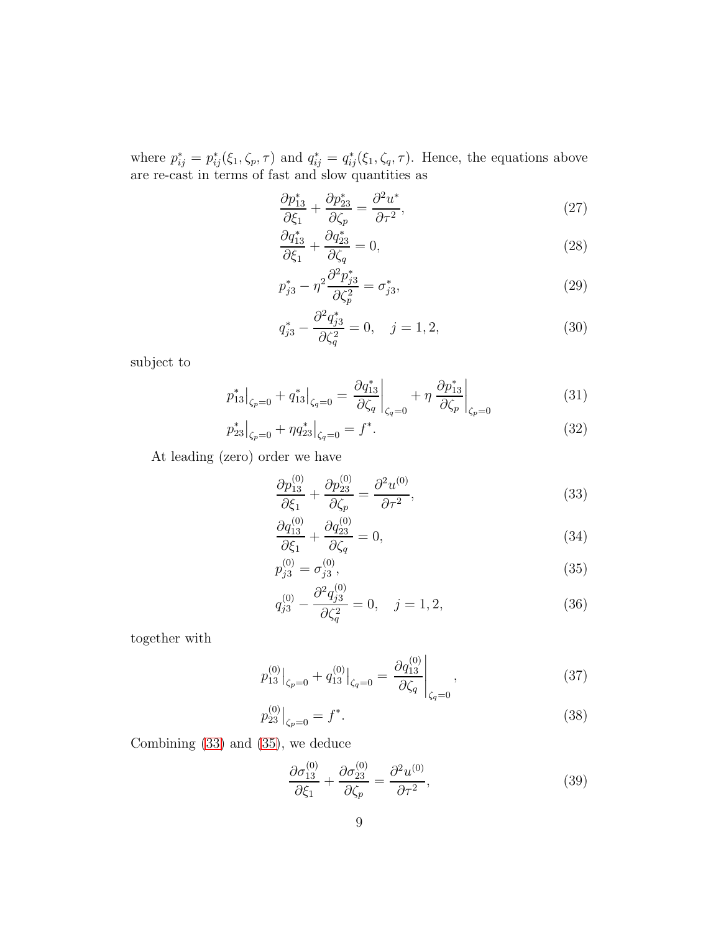where  $p_{ij}^* = p_{ij}^*(\xi_1, \zeta_p, \tau)$  and  $q_{ij}^* = q_{ij}^*(\xi_1, \zeta_q, \tau)$ . Hence, the equations above are re-cast in terms of fast and slow quantities as

$$
\frac{\partial p_{13}^*}{\partial \xi_1} + \frac{\partial p_{23}^*}{\partial \zeta_p} = \frac{\partial^2 u^*}{\partial \tau^2},\tag{27}
$$

$$
\frac{\partial q_{13}^*}{\partial \xi_1} + \frac{\partial q_{23}^*}{\partial \zeta_q} = 0,\tag{28}
$$

$$
p_{j3}^* - \eta^2 \frac{\partial^2 p_{j3}^*}{\partial \zeta_p^2} = \sigma_{j3}^*,\tag{29}
$$

$$
q_{j3}^* - \frac{\partial^2 q_{j3}^*}{\partial \zeta_q^2} = 0, \quad j = 1, 2,
$$
\n(30)

subject to

$$
p_{13}^* \Big|_{\zeta_p = 0} + q_{13}^* \Big|_{\zeta_q = 0} = \frac{\partial q_{13}^*}{\partial \zeta_q} \Big|_{\zeta_q = 0} + \eta \left. \frac{\partial p_{13}^*}{\partial \zeta_p} \right|_{\zeta_p = 0}
$$
 (31)

$$
p_{23}^* \big|_{\zeta_p = 0} + \eta q_{23}^* \big|_{\zeta_q = 0} = f^*.
$$
\n(32)

At leading (zero) order we have

<span id="page-8-0"></span>
$$
\frac{\partial p_{13}^{(0)}}{\partial \xi_1} + \frac{\partial p_{23}^{(0)}}{\partial \zeta_p} = \frac{\partial^2 u^{(0)}}{\partial \tau^2},\tag{33}
$$

<span id="page-8-3"></span>
$$
\frac{\partial q_{13}^{(0)}}{\partial \xi_1} + \frac{\partial q_{23}^{(0)}}{\partial \zeta_q} = 0, \tag{34}
$$

<span id="page-8-2"></span><span id="page-8-1"></span>
$$
p_{j3}^{(0)} = \sigma_{j3}^{(0)},\tag{35}
$$

$$
q_{j3}^{(0)} - \frac{\partial^2 q_{j3}^{(0)}}{\partial \zeta_q^2} = 0, \quad j = 1, 2,
$$
\n(36)

together with

$$
p_{13}^{(0)}\big|_{\zeta_p=0} + q_{13}^{(0)}\big|_{\zeta_q=0} = \frac{\partial q_{13}^{(0)}}{\partial \zeta_q}\big|_{\zeta_q=0},\tag{37}
$$

$$
p_{23}^{(0)}\big|_{\zeta_p=0} = f^*.\tag{38}
$$

Combining [\(33\)](#page-8-0) and [\(35\)](#page-8-1), we deduce

<span id="page-8-5"></span><span id="page-8-4"></span>
$$
\frac{\partial \sigma_{13}^{(0)}}{\partial \xi_1} + \frac{\partial \sigma_{23}^{(0)}}{\partial \zeta_p} = \frac{\partial^2 u^{(0)}}{\partial \tau^2},\tag{39}
$$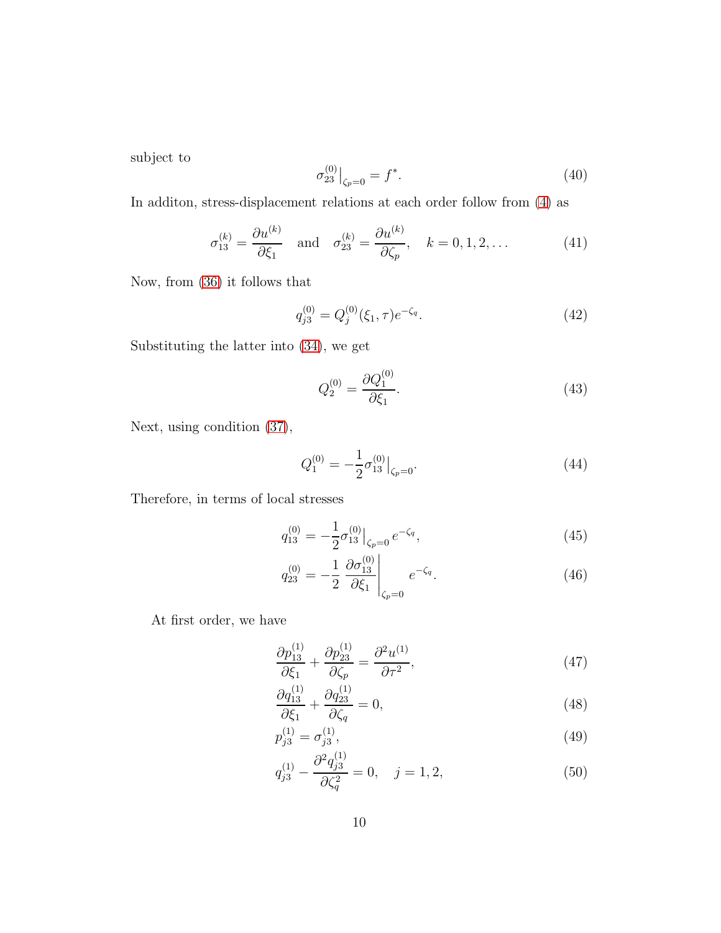subject to

$$
\sigma_{23}^{(0)}\big|_{\zeta_p=0} = f^*.\tag{40}
$$

In additon, stress-displacement relations at each order follow from [\(4\)](#page-4-3) as

$$
\sigma_{13}^{(k)} = \frac{\partial u^{(k)}}{\partial \xi_1} \quad \text{and} \quad \sigma_{23}^{(k)} = \frac{\partial u^{(k)}}{\partial \zeta_p}, \quad k = 0, 1, 2, \dots \tag{41}
$$

Now, from [\(36\)](#page-8-2) it follows that

$$
q_{j3}^{(0)} = Q_j^{(0)}(\xi_1, \tau) e^{-\zeta_q}.
$$
\n(42)

Substituting the latter into [\(34\)](#page-8-3), we get

$$
Q_2^{(0)} = \frac{\partial Q_1^{(0)}}{\partial \xi_1}.
$$
\n(43)

Next, using condition [\(37\)](#page-8-4),

$$
Q_1^{(0)} = -\frac{1}{2}\sigma_{13}^{(0)}\big|_{\zeta_p = 0}.\tag{44}
$$

Therefore, in terms of local stresses

$$
q_{13}^{(0)} = -\frac{1}{2}\sigma_{13}^{(0)}\big|_{\zeta_p=0} e^{-\zeta_q},\tag{45}
$$

$$
q_{23}^{(0)} = -\frac{1}{2} \left. \frac{\partial \sigma_{13}^{(0)}}{\partial \xi_1} \right|_{\zeta_p = 0} e^{-\zeta_q}.
$$
 (46)

At first order, we have

$$
\frac{\partial p_{13}^{(1)}}{\partial \xi_1} + \frac{\partial p_{23}^{(1)}}{\partial \zeta_p} = \frac{\partial^2 u^{(1)}}{\partial \tau^2},\tag{47}
$$

<span id="page-9-3"></span><span id="page-9-1"></span>
$$
\frac{\partial q_{13}^{(1)}}{\partial \xi_1} + \frac{\partial q_{23}^{(1)}}{\partial \zeta_q} = 0, \tag{48}
$$

$$
p_{j3}^{(1)} = \sigma_{j3}^{(1)},\tag{49}
$$

<span id="page-9-2"></span><span id="page-9-0"></span>
$$
q_{j3}^{(1)} - \frac{\partial^2 q_{j3}^{(1)}}{\partial \zeta_q^2} = 0, \quad j = 1, 2,
$$
\n(50)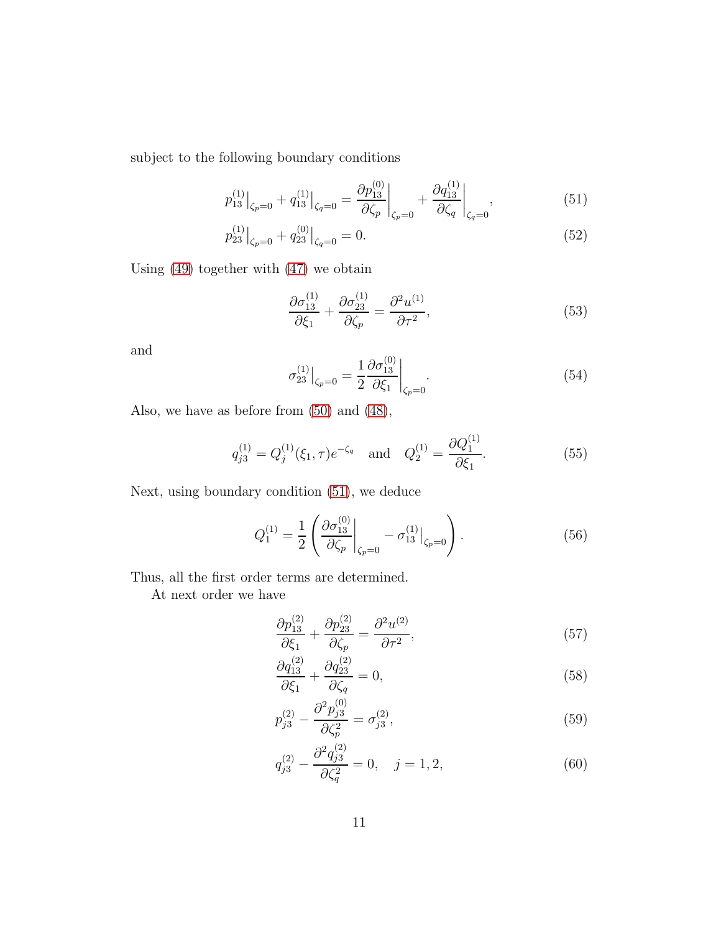subject to the following boundary conditions

$$
p_{13}^{(1)}\big|_{\zeta_p=0} + q_{13}^{(1)}\big|_{\zeta_q=0} = \frac{\partial p_{13}^{(0)}}{\partial \zeta_p}\big|_{\zeta_p=0} + \frac{\partial q_{13}^{(1)}}{\partial \zeta_q}\big|_{\zeta_q=0},\tag{51}
$$

$$
p_{23}^{(1)}\big|_{\zeta_p=0} + q_{23}^{(0)}\big|_{\zeta_q=0} = 0. \tag{52}
$$

Using [\(49\)](#page-9-0) together with [\(47\)](#page-9-1) we obtain

<span id="page-10-5"></span><span id="page-10-0"></span>
$$
\frac{\partial \sigma_{13}^{(1)}}{\partial \xi_1} + \frac{\partial \sigma_{23}^{(1)}}{\partial \zeta_p} = \frac{\partial^2 u^{(1)}}{\partial \tau^2},\tag{53}
$$

and

$$
\sigma_{23}^{(1)}\Big|_{\zeta_p=0} = \frac{1}{2} \frac{\partial \sigma_{13}^{(0)}}{\partial \zeta_1}\Big|_{\zeta_p=0}.
$$
\n(54)

Also, we have as before from [\(50\)](#page-9-2) and [\(48\)](#page-9-3),

$$
q_{j3}^{(1)} = Q_j^{(1)}(\xi_1, \tau) e^{-\zeta_q}
$$
 and  $Q_2^{(1)} = \frac{\partial Q_1^{(1)}}{\partial \xi_1}$ . (55)

Next, using boundary condition [\(51\)](#page-10-0), we deduce

$$
Q_1^{(1)} = \frac{1}{2} \left( \frac{\partial \sigma_{13}^{(0)}}{\partial \zeta_p} \bigg|_{\zeta_p = 0} - \sigma_{13}^{(1)} \bigg|_{\zeta_p = 0} \right). \tag{56}
$$

Thus, all the first order terms are determined.

At next order we have

<span id="page-10-2"></span>
$$
\frac{\partial p_{13}^{(2)}}{\partial \xi_1} + \frac{\partial p_{23}^{(2)}}{\partial \zeta_p} = \frac{\partial^2 u^{(2)}}{\partial \tau^2},\tag{57}
$$

<span id="page-10-4"></span>
$$
\frac{\partial q_{13}^{(2)}}{\partial \xi_1} + \frac{\partial q_{23}^{(2)}}{\partial \zeta_q} = 0,\tag{58}
$$

<span id="page-10-1"></span>
$$
p_{j3}^{(2)} - \frac{\partial^2 p_{j3}^{(0)}}{\partial \zeta_p^2} = \sigma_{j3}^{(2)},\tag{59}
$$

<span id="page-10-3"></span>
$$
q_{j3}^{(2)} - \frac{\partial^2 q_{j3}^{(2)}}{\partial \zeta_q^2} = 0, \quad j = 1, 2,
$$
\n(60)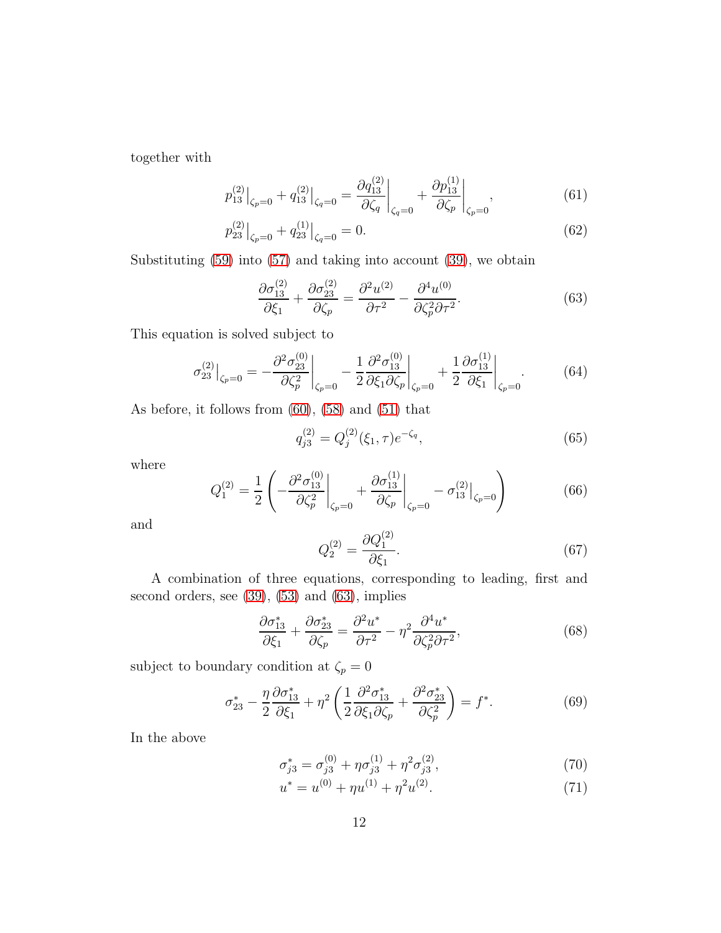together with

$$
p_{13}^{(2)}\big|_{\zeta_p=0} + q_{13}^{(2)}\big|_{\zeta_q=0} = \frac{\partial q_{13}^{(2)}}{\partial \zeta_q}\big|_{\zeta_q=0} + \frac{\partial p_{13}^{(1)}}{\partial \zeta_p}\big|_{\zeta_p=0},\tag{61}
$$

$$
p_{23}^{(2)}\big|_{\zeta_p=0} + q_{23}^{(1)}\big|_{\zeta_q=0} = 0. \tag{62}
$$

Substituting [\(59\)](#page-10-1) into [\(57\)](#page-10-2) and taking into account [\(39\)](#page-8-5), we obtain

<span id="page-11-0"></span>
$$
\frac{\partial \sigma_{13}^{(2)}}{\partial \xi_1} + \frac{\partial \sigma_{23}^{(2)}}{\partial \zeta_p} = \frac{\partial^2 u^{(2)}}{\partial \tau^2} - \frac{\partial^4 u^{(0)}}{\partial \zeta_p^2 \partial \tau^2}.
$$
(63)

This equation is solved subject to

$$
\sigma_{23}^{(2)}\big|_{\zeta_p=0} = -\frac{\partial^2 \sigma_{23}^{(0)}}{\partial \zeta_p^2}\bigg|_{\zeta_p=0} - \frac{1}{2} \frac{\partial^2 \sigma_{13}^{(0)}}{\partial \zeta_1 \partial \zeta_p}\bigg|_{\zeta_p=0} + \frac{1}{2} \frac{\partial \sigma_{13}^{(1)}}{\partial \zeta_1}\bigg|_{\zeta_p=0}.
$$
 (64)

As before, it follows from [\(60\)](#page-10-3), [\(58\)](#page-10-4) and [\(51\)](#page-10-0) that

$$
q_{j3}^{(2)} = Q_j^{(2)}(\xi_1, \tau) e^{-\zeta_q}, \tag{65}
$$

where

$$
Q_1^{(2)} = \frac{1}{2} \left( -\frac{\partial^2 \sigma_{13}^{(0)}}{\partial \zeta_p^2} \bigg|_{\zeta_p = 0} + \frac{\partial \sigma_{13}^{(1)}}{\partial \zeta_p} \bigg|_{\zeta_p = 0} - \sigma_{13}^{(2)} \bigg|_{\zeta_p = 0} \right)
$$
(66)

and

$$
Q_2^{(2)} = \frac{\partial Q_1^{(2)}}{\partial \xi_1}.
$$
\n(67)

A combination of three equations, corresponding to leading, first and second orders, see [\(39\)](#page-8-5), [\(53\)](#page-10-5) and [\(63\)](#page-11-0), implies

$$
\frac{\partial \sigma_{13}^*}{\partial \xi_1} + \frac{\partial \sigma_{23}^*}{\partial \zeta_p} = \frac{\partial^2 u^*}{\partial \tau^2} - \eta^2 \frac{\partial^4 u^*}{\partial \zeta_p^2 \partial \tau^2},\tag{68}
$$

subject to boundary condition at  $\zeta_p = 0$ 

$$
\sigma_{23}^* - \frac{\eta}{2} \frac{\partial \sigma_{13}^*}{\partial \xi_1} + \eta^2 \left( \frac{1}{2} \frac{\partial^2 \sigma_{13}^*}{\partial \xi_1 \partial \zeta_p} + \frac{\partial^2 \sigma_{23}^*}{\partial \zeta_p^2} \right) = f^*.
$$
 (69)

In the above

$$
\sigma_{j3}^* = \sigma_{j3}^{(0)} + \eta \sigma_{j3}^{(1)} + \eta^2 \sigma_{j3}^{(2)},\tag{70}
$$

$$
u^* = u^{(0)} + \eta u^{(1)} + \eta^2 u^{(2)}.
$$
\n(71)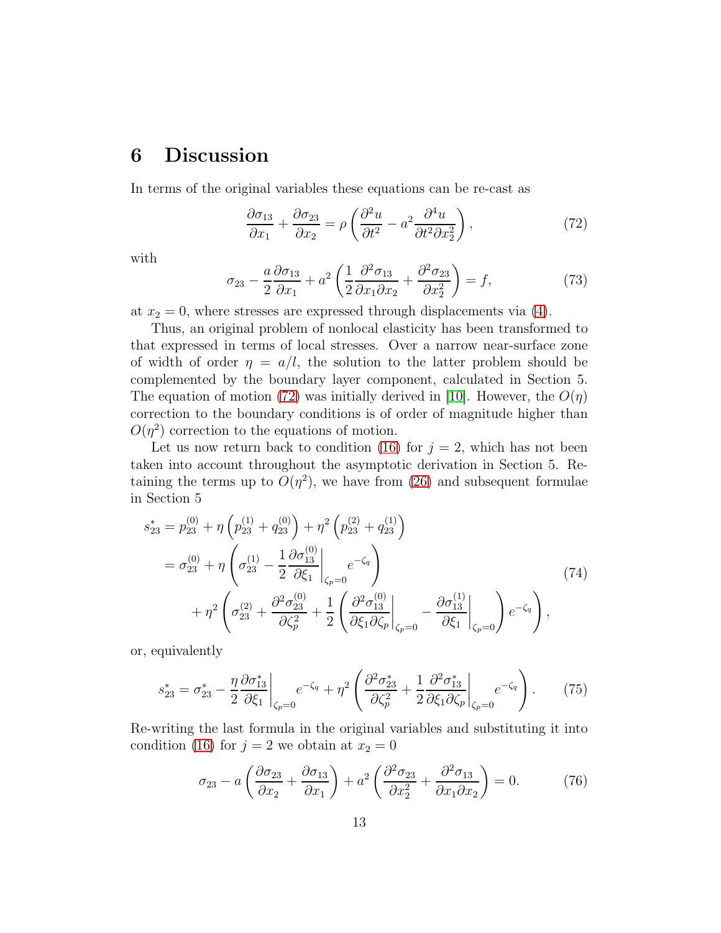### 6 Discussion

In terms of the original variables these equations can be re-cast as

<span id="page-12-0"></span>
$$
\frac{\partial \sigma_{13}}{\partial x_1} + \frac{\partial \sigma_{23}}{\partial x_2} = \rho \left( \frac{\partial^2 u}{\partial t^2} - a^2 \frac{\partial^4 u}{\partial t^2 \partial x_2^2} \right),\tag{72}
$$

with

<span id="page-12-3"></span>
$$
\sigma_{23} - \frac{a}{2} \frac{\partial \sigma_{13}}{\partial x_1} + a^2 \left( \frac{1}{2} \frac{\partial^2 \sigma_{13}}{\partial x_1 \partial x_2} + \frac{\partial^2 \sigma_{23}}{\partial x_2^2} \right) = f,\tag{73}
$$

at  $x_2 = 0$ , where stresses are expressed through displacements via [\(4\)](#page-4-3).

Thus, an original problem of nonlocal elasticity has been transformed to that expressed in terms of local stresses. Over a narrow near-surface zone of width of order  $\eta = a/l$ , the solution to the latter problem should be complemented by the boundary layer component, calculated in Section 5. The equation of motion [\(72\)](#page-12-0) was initially derived in [\[10\]](#page-17-2). However, the  $O(\eta)$ correction to the boundary conditions is of order of magnitude higher than  $O(\eta^2)$  correction to the equations of motion.

Let us now return back to condition [\(16\)](#page-6-0) for  $j = 2$ , which has not been taken into account throughout the asymptotic derivation in Section 5. Retaining the terms up to  $O(\eta^2)$ , we have from [\(26\)](#page-7-0) and subsequent formulae in Section 5

$$
s_{23}^{*} = p_{23}^{(0)} + \eta \left( p_{23}^{(1)} + q_{23}^{(0)} \right) + \eta^{2} \left( p_{23}^{(2)} + q_{23}^{(1)} \right)
$$
  
=  $\sigma_{23}^{(0)} + \eta \left( \sigma_{23}^{(1)} - \frac{1}{2} \frac{\partial \sigma_{13}^{(0)}}{\partial \xi_{1}} \Big|_{\zeta_{p}=0} e^{-\zeta_{q}} \right)$   
+  $\eta^{2} \left( \sigma_{23}^{(2)} + \frac{\partial^{2} \sigma_{23}^{(0)}}{\partial \zeta_{p}^{2}} + \frac{1}{2} \left( \frac{\partial^{2} \sigma_{13}^{(0)}}{\partial \xi_{1} \partial \zeta_{p}} \Big|_{\zeta_{p}=0} - \frac{\partial \sigma_{13}^{(1)}}{\partial \xi_{1}} \Big|_{\zeta_{p}=0} \right) e^{-\zeta_{q}} \right),$  (74)

or, equivalently

<span id="page-12-1"></span>
$$
s_{23}^* = \sigma_{23}^* - \frac{\eta}{2} \frac{\partial \sigma_{13}^*}{\partial \xi_1} \bigg|_{\zeta_p = 0} e^{-\zeta_q} + \eta^2 \left( \frac{\partial^2 \sigma_{23}^*}{\partial \zeta_p^2} + \frac{1}{2} \frac{\partial^2 \sigma_{13}^*}{\partial \xi_1 \partial \zeta_p} \bigg|_{\zeta_p = 0} e^{-\zeta_q} \right). \tag{75}
$$

Re-writing the last formula in the original variables and substituting it into condition [\(16\)](#page-6-0) for  $j = 2$  we obtain at  $x_2 = 0$ 

<span id="page-12-2"></span>
$$
\sigma_{23} - a \left( \frac{\partial \sigma_{23}}{\partial x_2} + \frac{\partial \sigma_{13}}{\partial x_1} \right) + a^2 \left( \frac{\partial^2 \sigma_{23}}{\partial x_2^2} + \frac{\partial^2 \sigma_{13}}{\partial x_1 \partial x_2} \right) = 0. \tag{76}
$$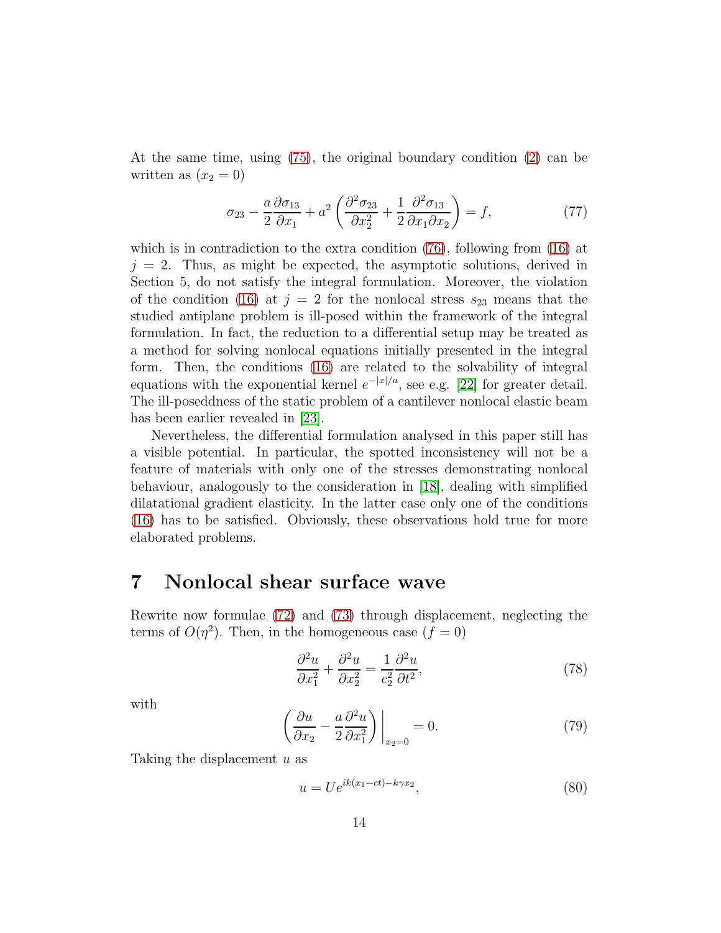At the same time, using [\(75\)](#page-12-1), the original boundary condition [\(2\)](#page-3-2) can be written as  $(x_2 = 0)$ 

$$
\sigma_{23} - \frac{a}{2} \frac{\partial \sigma_{13}}{\partial x_1} + a^2 \left( \frac{\partial^2 \sigma_{23}}{\partial x_2^2} + \frac{1}{2} \frac{\partial^2 \sigma_{13}}{\partial x_1 \partial x_2} \right) = f,\tag{77}
$$

which is in contradiction to the extra condition [\(76\)](#page-12-2), following from [\(16\)](#page-6-0) at  $j = 2$ . Thus, as might be expected, the asymptotic solutions, derived in Section 5, do not satisfy the integral formulation. Moreover, the violation of the condition [\(16\)](#page-6-0) at  $j = 2$  for the nonlocal stress  $s_{23}$  means that the studied antiplane problem is ill-posed within the framework of the integral formulation. In fact, the reduction to a differential setup may be treated as a method for solving nonlocal equations initially presented in the integral form. Then, the conditions [\(16\)](#page-6-0) are related to the solvability of integral equations with the exponential kernel  $e^{-|x|/a}$ , see e.g. [\[22\]](#page-18-8) for greater detail. The ill-poseddness of the static problem of a cantilever nonlocal elastic beam has been earlier revealed in [\[23\]](#page-18-4).

Nevertheless, the differential formulation analysed in this paper still has a visible potential. In particular, the spotted inconsistency will not be a feature of materials with only one of the stresses demonstrating nonlocal behaviour, analogously to the consideration in [\[18\]](#page-18-7), dealing with simplified dilatational gradient elasticity. In the latter case only one of the conditions [\(16\)](#page-6-0) has to be satisfied. Obviously, these observations hold true for more elaborated problems.

#### 7 Nonlocal shear surface wave

Rewrite now formulae [\(72\)](#page-12-0) and [\(73\)](#page-12-3) through displacement, neglecting the terms of  $O(\eta^2)$ . Then, in the homogeneous case  $(f = 0)$ 

$$
\frac{\partial^2 u}{\partial x_1^2} + \frac{\partial^2 u}{\partial x_2^2} = \frac{1}{c_2^2} \frac{\partial^2 u}{\partial t^2},\tag{78}
$$

with

$$
\left(\frac{\partial u}{\partial x_2} - \frac{a}{2} \frac{\partial^2 u}{\partial x_1^2}\right)\Big|_{x_2=0} = 0. \tag{79}
$$

Taking the displacement u as

$$
u = U e^{ik(x_1 - ct) - k\gamma x_2},\tag{80}
$$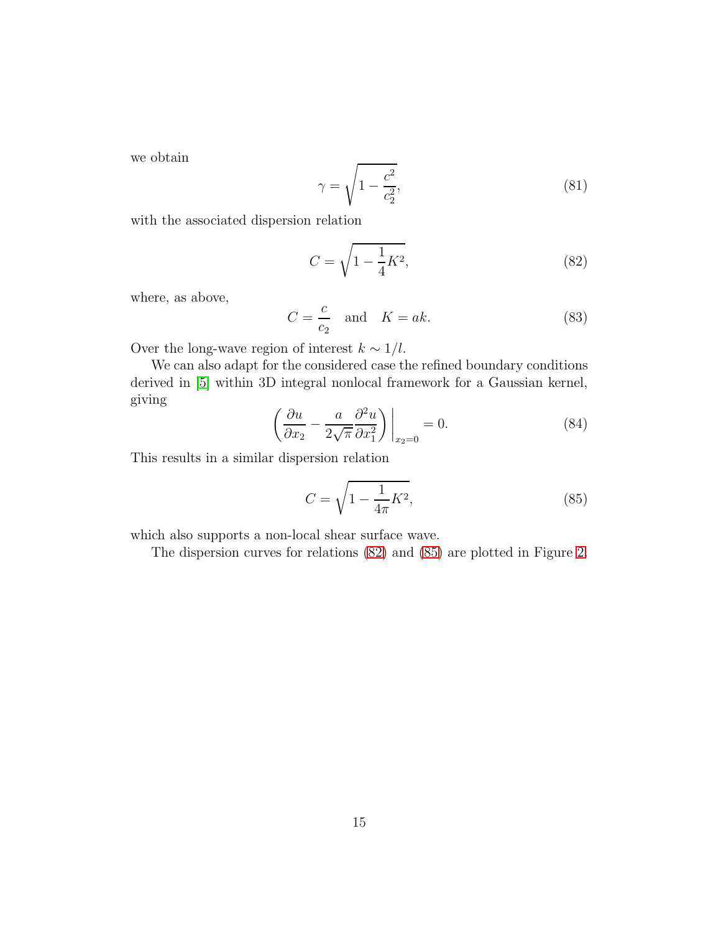we obtain

$$
\gamma = \sqrt{1 - \frac{c^2}{c_2^2}},\tag{81}
$$

with the associated dispersion relation

<span id="page-14-0"></span>
$$
C = \sqrt{1 - \frac{1}{4}K^2},\tag{82}
$$

where, as above,

$$
C = \frac{c}{c_2} \quad \text{and} \quad K = ak. \tag{83}
$$

Over the long-wave region of interest  $k \sim 1/l$ .

We can also adapt for the considered case the refined boundary conditions derived in [\[5\]](#page-17-3) within 3D integral nonlocal framework for a Gaussian kernel, giving

$$
\left(\frac{\partial u}{\partial x_2} - \frac{a}{2\sqrt{\pi}} \frac{\partial^2 u}{\partial x_1^2}\right)\Big|_{x_2=0} = 0.
$$
\n(84)

This results in a similar dispersion relation

<span id="page-14-1"></span>
$$
C = \sqrt{1 - \frac{1}{4\pi}K^2},
$$
\n(85)

which also supports a non-local shear surface wave.

The dispersion curves for relations [\(82\)](#page-14-0) and [\(85\)](#page-14-1) are plotted in Figure [2.](#page-15-0)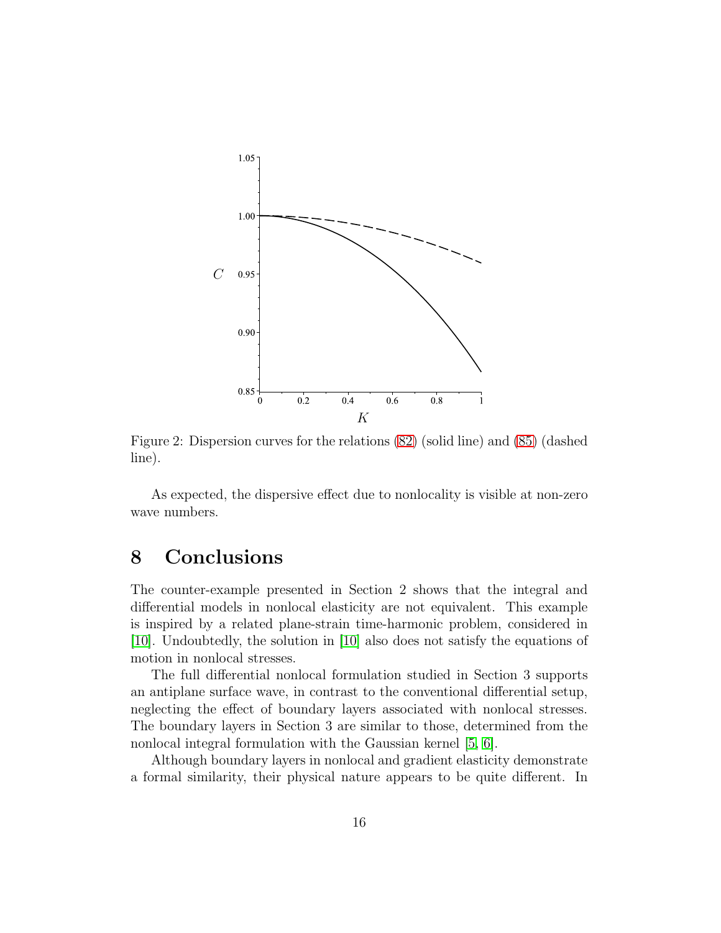

<span id="page-15-0"></span>Figure 2: Dispersion curves for the relations [\(82\)](#page-14-0) (solid line) and [\(85\)](#page-14-1) (dashed line).

As expected, the dispersive effect due to nonlocality is visible at non-zero wave numbers.

#### 8 Conclusions

The counter-example presented in Section 2 shows that the integral and differential models in nonlocal elasticity are not equivalent. This example is inspired by a related plane-strain time-harmonic problem, considered in [\[10\]](#page-17-2). Undoubtedly, the solution in [\[10\]](#page-17-2) also does not satisfy the equations of motion in nonlocal stresses.

The full differential nonlocal formulation studied in Section 3 supports an antiplane surface wave, in contrast to the conventional differential setup, neglecting the effect of boundary layers associated with nonlocal stresses. The boundary layers in Section 3 are similar to those, determined from the nonlocal integral formulation with the Gaussian kernel [\[5,](#page-17-3) [6\]](#page-17-4).

Although boundary layers in nonlocal and gradient elasticity demonstrate a formal similarity, their physical nature appears to be quite different. In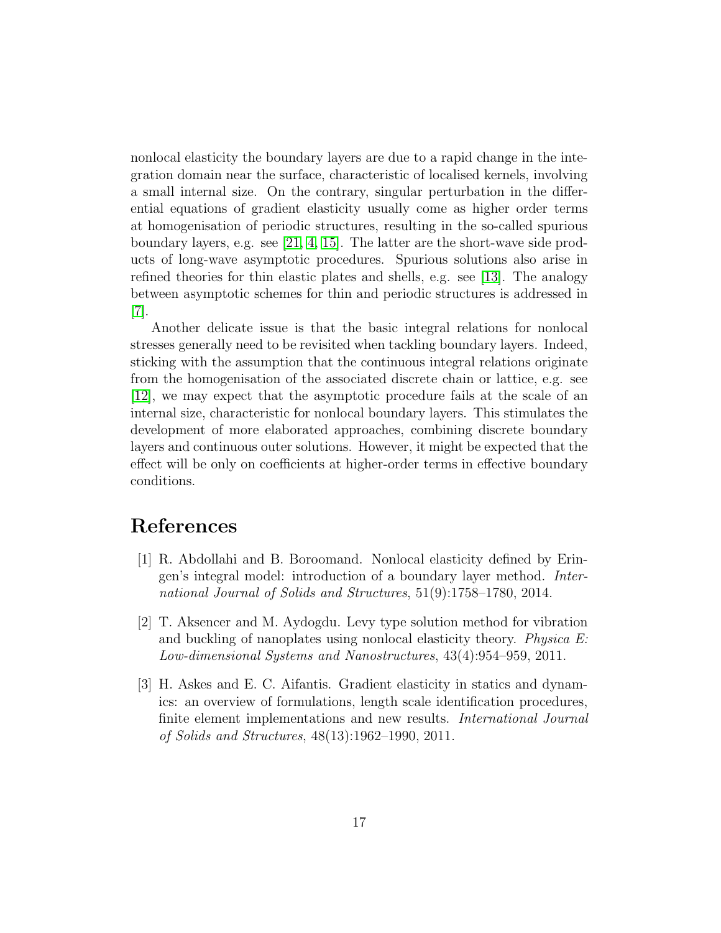nonlocal elasticity the boundary layers are due to a rapid change in the integration domain near the surface, characteristic of localised kernels, involving a small internal size. On the contrary, singular perturbation in the differential equations of gradient elasticity usually come as higher order terms at homogenisation of periodic structures, resulting in the so-called spurious boundary layers, e.g. see [\[21,](#page-18-9) [4,](#page-17-6) [15\]](#page-18-10). The latter are the short-wave side products of long-wave asymptotic procedures. Spurious solutions also arise in refined theories for thin elastic plates and shells, e.g. see [\[13\]](#page-17-7). The analogy between asymptotic schemes for thin and periodic structures is addressed in [\[7\]](#page-17-8).

Another delicate issue is that the basic integral relations for nonlocal stresses generally need to be revisited when tackling boundary layers. Indeed, sticking with the assumption that the continuous integral relations originate from the homogenisation of the associated discrete chain or lattice, e.g. see [\[12\]](#page-17-9), we may expect that the asymptotic procedure fails at the scale of an internal size, characteristic for nonlocal boundary layers. This stimulates the development of more elaborated approaches, combining discrete boundary layers and continuous outer solutions. However, it might be expected that the effect will be only on coefficients at higher-order terms in effective boundary conditions.

#### <span id="page-16-2"></span>References

- [1] R. Abdollahi and B. Boroomand. Nonlocal elasticity defined by Eringen's integral model: introduction of a boundary layer method. International Journal of Solids and Structures, 51(9):1758–1780, 2014.
- <span id="page-16-0"></span>[2] T. Aksencer and M. Aydogdu. Levy type solution method for vibration and buckling of nanoplates using nonlocal elasticity theory. Physica E: Low-dimensional Systems and Nanostructures, 43(4):954–959, 2011.
- <span id="page-16-1"></span>[3] H. Askes and E. C. Aifantis. Gradient elasticity in statics and dynamics: an overview of formulations, length scale identification procedures, finite element implementations and new results. International Journal of Solids and Structures, 48(13):1962–1990, 2011.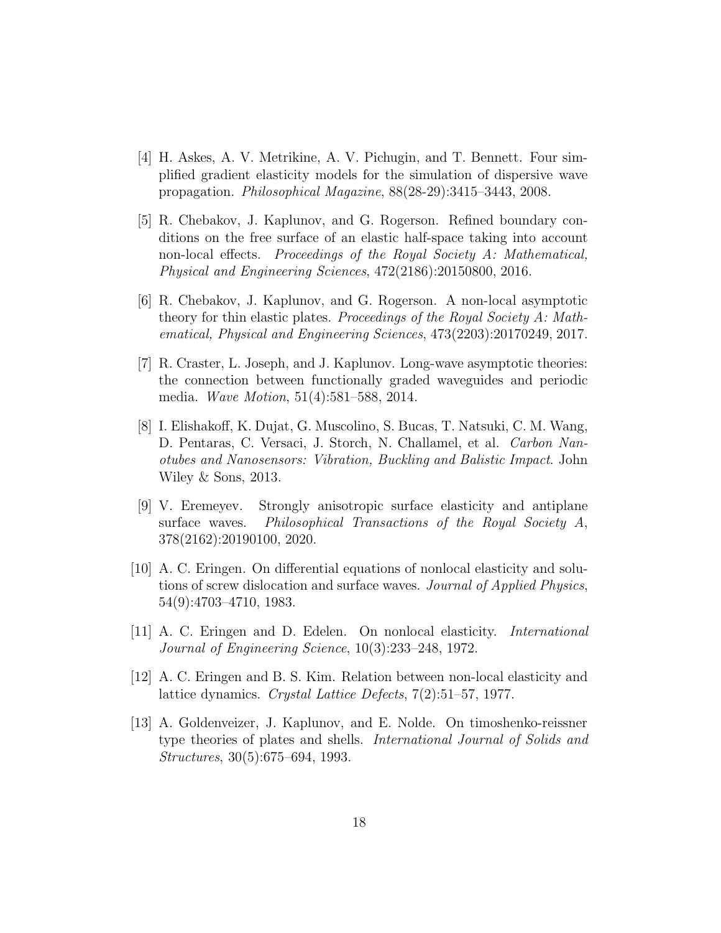- <span id="page-17-6"></span>[4] H. Askes, A. V. Metrikine, A. V. Pichugin, and T. Bennett. Four simplified gradient elasticity models for the simulation of dispersive wave propagation. Philosophical Magazine, 88(28-29):3415–3443, 2008.
- <span id="page-17-3"></span>[5] R. Chebakov, J. Kaplunov, and G. Rogerson. Refined boundary conditions on the free surface of an elastic half-space taking into account non-local effects. Proceedings of the Royal Society A: Mathematical, Physical and Engineering Sciences, 472(2186):20150800, 2016.
- <span id="page-17-4"></span>[6] R. Chebakov, J. Kaplunov, and G. Rogerson. A non-local asymptotic theory for thin elastic plates. Proceedings of the Royal Society A: Mathematical, Physical and Engineering Sciences, 473(2203):20170249, 2017.
- <span id="page-17-8"></span>[7] R. Craster, L. Joseph, and J. Kaplunov. Long-wave asymptotic theories: the connection between functionally graded waveguides and periodic media. Wave Motion, 51(4):581–588, 2014.
- <span id="page-17-0"></span>[8] I. Elishakoff, K. Dujat, G. Muscolino, S. Bucas, T. Natsuki, C. M. Wang, D. Pentaras, C. Versaci, J. Storch, N. Challamel, et al. Carbon Nanotubes and Nanosensors: Vibration, Buckling and Balistic Impact. John Wiley & Sons, 2013.
- <span id="page-17-5"></span>[9] V. Eremeyev. Strongly anisotropic surface elasticity and antiplane surface waves. Philosophical Transactions of the Royal Society A, 378(2162):20190100, 2020.
- <span id="page-17-2"></span>[10] A. C. Eringen. On differential equations of nonlocal elasticity and solutions of screw dislocation and surface waves. Journal of Applied Physics, 54(9):4703–4710, 1983.
- <span id="page-17-1"></span>[11] A. C. Eringen and D. Edelen. On nonlocal elasticity. International Journal of Engineering Science, 10(3):233–248, 1972.
- <span id="page-17-9"></span><span id="page-17-7"></span>[12] A. C. Eringen and B. S. Kim. Relation between non-local elasticity and lattice dynamics. Crystal Lattice Defects, 7(2):51–57, 1977.
- [13] A. Goldenveizer, J. Kaplunov, and E. Nolde. On timoshenko-reissner type theories of plates and shells. International Journal of Solids and Structures, 30(5):675–694, 1993.